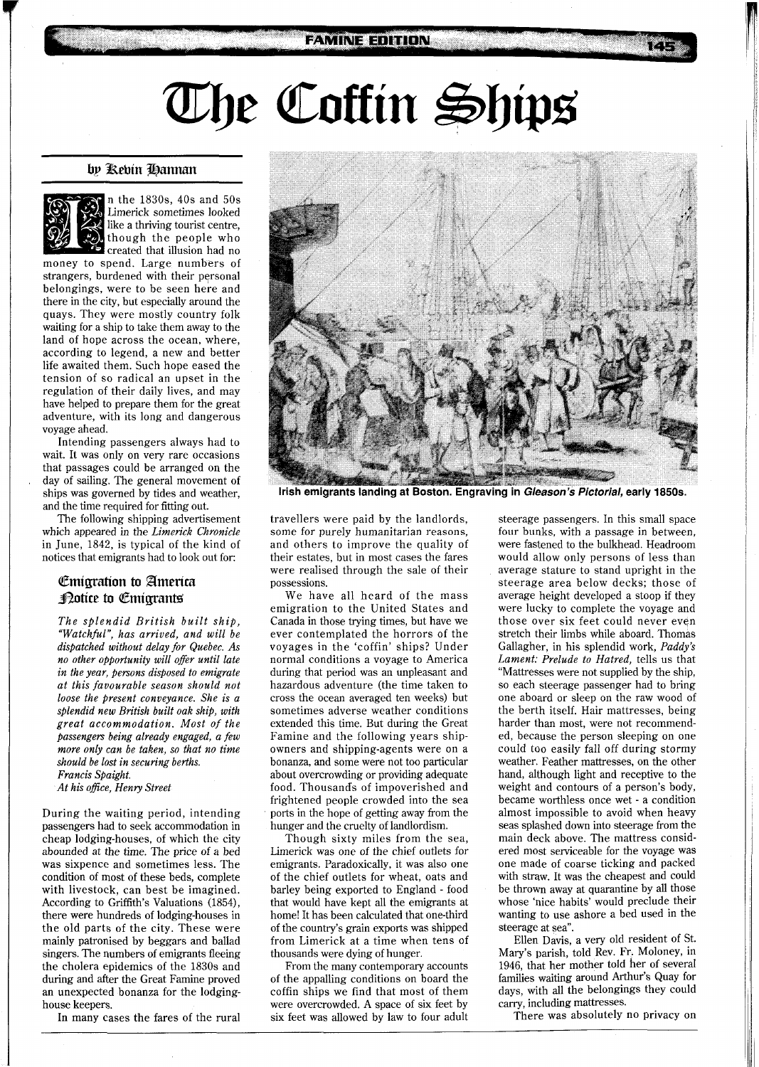## The Coffin Ships

## by Rebin Hannan



n the 1830s, 40s and 50s Limerick sometimes looked like a thriving tourist centre, though the people who **Coreated that illusion had no** 

money to spend. Large numbers of strangers, burdened with their personal belongings, were to be seen here and there in the city, but especially around the quays. They were mostly country folk waiting for a ship to take them away to the land of hope across the ocean, where, according to legend, a new and better life awaited them. Such hope eased the tension of so radical an upset in the regulation of their daily lives, and may have helped to prepare them for the great adventure, with its long and dangerous voyage ahead.

Intending passengers always had to wait. It was only on very rare occasions that passages could be arranged on the day of sailing. The general movement of ships was governed by tides and weather, and the time required for fitting out.

The following shipping advertisement which appeared in the *Limerick Chronicle*  in June, 1842, is typical of the kind of notices that emigrants had to look out for:

## **Emigration to America Dotice to Emigrants**

*The splendid British built ship, "Watchful", has arrived, and will be dispatched without delay for Quebec. As no other opportunity will offer until late in the year, persons disposed to emigrate at this favourable season should not loose the present conveyance. She is a splendid new British built oak ship, with great accommodation. Most of the passengers being already engaged, a few more only can be taken, so that no time should be lost in securing berths. Francis Spaight.* 

*At his ofice, Henry Street* 

During the waiting period, intending passengers had to seek accommodation in cheap lodging-houses, of which the city abounded at the time. The price of a bed was sixpence and sometimes less. The condition of most of these beds, complete with livestock, can best be imagined. According to Griffith's Valuations (1854), there were hundreds of lodging-houses in the old parts of the city. These were mainly patronised by beggars and ballad singers. The numbers of emigrants fleeing the cholera epidemics of the 1830s and during and after the Great Famine proved an unexpected bonanza for the lodginghouse keepers.

In many cases the fares of the rural



Irish emigrants landing at Boston. Engraving in Gleason's Pictorial, early 1850s.

travellers were paid by the landlords, some for purely humanitarian reasons, and others to improve the quality of their estates, but in most cases the fares were realised through the sale of their possessions.

We have all heard of the mass emigration to the United States and Canada in those trying times, but have we ever contemplated the horrors of the voyages in the 'coffin' ships? Under normal conditions a voyage to America during that period was an unpleasant and hazardous adventure (the time taken to cross the ocean averaged ten weeks) but sometimes adverse weather conditions extended this time. But during the Great Famine and the following years shipowners and shipping-agents were on a bonanza, and some were not too particular about overcrowding or providing adequate food. Thousands of impoverished and frightened people crowded into the sea ports in the hope of getting away from the hunger and the cruelty of landlordism.

Though sixty miles from the sea, Limerick was one of the chief outlets for emigrants. Paradoxically, it was also one of the chief outlets for wheat, oats and barley being exported to England - food that would have kept all the emigrants at home! It has been calculated that one-third of the country's grain exports was shipped from Limerick at a time when tens of thousands were dying of hunger.

From the many contemporary accounts of the appalling conditions on board the coffin ships we find that most of them were overcrowded. A space of six feet by six feet was allowed by law to four adult

steerage passengers. In this small space four bunks, with a passage in between, were fastened to the bulkhead. Headroom would allow only persons of less than average stature to stand upright in the steerage area below decks; those of average height developed a stoop if they were lucky to complete the voyage and those over six feet could never even stretch their limbs while aboard. Thomas Gallagher, in his splendid work, *Paddy's Lament: Prelude to Hatred,* tells us that "Mattresses were not supplied by the ship, so each steerage passenger had to bring one aboard or sleep on the raw wood of the berth itself. Hair mattresses, being harder than most, were not recommended, because the person sleeping on one could too easily fall off during stormy weather. Feather mattresses, on the other hand, although light and receptive to the weight and contours of a person's body, became worthless once wet - a condition almost impossible to avoid when heavy seas splashed down into steerage from the main deck above. The mattress considered most serviceable for the voyage was one made of coarse ticking and packed with straw. It was the cheapest and could be thrown away at quarantine by all those whose 'nice habits' would preclude their wanting to use ashore a bed used in the steerage at sea".

Ellen Davis, a very old resident of St. Mary's parish, told Rev. Fr. Moloney, in 1946, that her mother told her of several families waiting around Arthur's Quay for days, with all the belongings they could cany, including mattresses.

There was absolutely no privacy on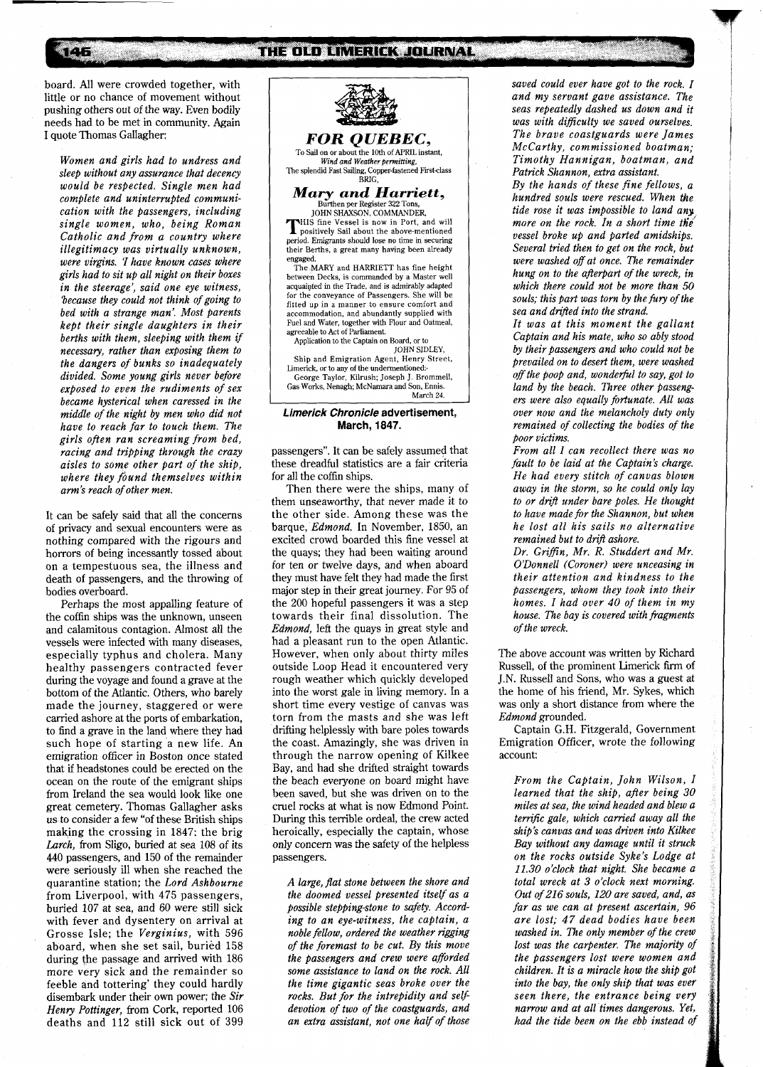board. All were crowded together, with little or no chance of movement without pushing others out of the way. Even bodily needs had to be met in community. Again I quote Thomas Gallagher:

146

*Women and girls had to undress and sleep without any assurance that decency would be respected. Single men had complete and uninterrupted communication with the passengers, including single women, who, being Roman Catholic and from a country where illegitimacy was virtually unknown, were virgins.* **1** *have known cases where girls had to sit up all night on their boxes in the steerage', said one eye witness, 'because they could not think of going to bed with a strange man: Most parents kept their single daughters in their berths with them, sleeping with them* **if**  *necessary, rather than exposing them to the dangers of bunks so inadequately divided. Some young girls never before exposed to even the rudiments of sex became hysterical when caressed in the middle of the night by men who did not have to reach far to touch them. The girls often ran screaming from bed, racing and tripping through the crazy aisles to some other part of the ship, where they found themselves within arm's reach of other men.* 

It can be safely said that all the concerns of privacy and sexual encounters were as nothing compared with the rigours and horrors of being incessantly tossed about on a tempestuous sea, the illness and death of passengers, and the throwing of bodies overboard.

Perhaps the most appalling feature of the coffin ships was the unknown, unseen and calamitous contagion. Almost all the vessels were infected with many diseases, especially typhus and cholera. Many healthy passengers contracted fever during the voyage and found a grave at the bottom of the Atlantic. Others, who barely made the journey, staggered or were carried ashore at the ports of embarkation, to find a grave in the land where they had such hope of starting a new life. An emigration officer in Boston once stated that if headstones could be erected on the ocean on the route of the emigrant ships from Ireland the sea would look like one great cemetery. Thomas Gallagher asks us to consider a few "of these British ships making the crossing in 1847: the brig *Larch,* from Sligo, buried at sea 108 of its 440 passengers, and 150 of the remainder were seriously ill when she reached the quarantine station; the *Lord Ashbourne*  from Liverpool, with 475 passengers, buried 107 at sea, and 60 were still sick with fever and dysentery on arrival at Grosse Isle; the *Verginius,* with 596 aboard, when she set sail, buried 158 during the passage and arrived with 186 more very sick and the remainder so feeble and tottering' they could hardly disembark under their own power; the *Sir Henry Pottinger,* from Cork, reported 106 deaths and 112 still sick out of 399



To Sail on or about the 10th of APRIL instant,<br>*Wind and Weather permitting*, The splendid Fast Sailing, Copper-fastened First-class **BRIG** 

 $\bm{Mary} \ \bm{and} \ \bm{Harriet}, \ \bm{\mathop{\rm Bintler\,}^{\rm BRLG,}}$  Burthen per Register 322 Tons,

JOHN SHAXSON, COMMANDER,<br>HIIS fine Vessel is now in Port, and will **THIS fine Vessel is now in Port, and will positively Sail about the above-mentioned period. Emigrants should lose no time in securing** their Berths, a great many having been already

engaged. The MARY and HARRIETT has fine height between Decks, is commanded by a Master well acquaipted in the Trade, and is admirably adapted for the conveyance of Passengers. She will be fitted up in a manner to ensure comfort and accommodation, and abundantly supplied with Fuel and Water, together with Flour and Oatmeal, agreeable to Act of Parliament.

Application to the Captain on Board, or to JOHN SIDLEY,

Ship and Emigration Agent, Henry Street, Limerick, or to any of the undermentioned:. George Taylor, Kilrush; Joseph J. Brommeil, Gas Works, Nenagh; McNamara and Son, Ennis. March **24.** 

## **Limerick Chronicle advertisement, March, 1847.**

passengers". It can be safely assumed that these dreadful statistics are a fair criteria for all the coffin ships.

Then there were the ships, many of them unseaworthy, that never made it to the other side. Among these was the barque, *Edmond.* In November, 1850, an excited crowd boarded this fine vessel at the quays; they had been waiting around for ten or twelve days, and when aboard they must have felt they had made the first major step in their great journey. For 95 of the 200 hopeful passengers it was a step towards their final dissolution. The *Edmond,* left the quays in great style and had a pleasant run to the open Atlantic. However, when only about thirty miles outside Loop Head it encountered very rough weather which quickly developed into the worst gale in living memory. In a short time every vestige of canvas was torn from the masts and she was left drifting helplessly with bare poles towards the coast. Amazingly, she was driven in through the narrow opening of Kilkee Bay, and had she drifted straight towards the beach everyone on board might have been saved, but she was driven on to the cruel rocks at what is now Edmond Point. During this terrible ordeal, the crew acted heroically, especially the captain, whose only concern was the safety of the helpless passengers.

*A large, flat stone between the shore and the doomed vessel presented itself as a*  possible stepping-stone to safety. Accord*ing to an eye-witness, the captain, a noble fellow, ordered the weather rigging of the foremast to be cut. By this move the passengers and crew were aforded some assistance to land on the rock. All the time gigantic seas broke over the rocks. But for the intrepidity and selfdevotion of two of the coastguards, and an extra assistant, not one half of those*  *saved could ever have got to the rock. I and my servant gave assistance. The seas repeatedly dashed us down and it was with difficulty we saved ourselves. The brave coastguards were James McCarthy, commissioned boatman; Timothy Hannigan, boatman, and Patrick Shannon, extra assistant.* 

*By the hands of these fine fellows, a hundred souls were rescued. When the tide rose it was impossible to land any, more on the rock. In a short time the vessel broke up and parted amidships. Several tried then to get on the rock, but were washed of at once. The remainder hung on to the afterpart of the wreck, in which there could not be more than 50 souls; this part was torn by the fury of the sea and dm3ed into the strand.* 

*It was at this moment the gallant Captain and his mate, who so ably stood by their passengers and who could not be prevailed on to desert them, were washed*  off the poop and, wonderful to say, got to land by the beach. Three other passeng*ers were also equally fortunate. All was over now and the melancholy duty only remained of collecting the bodies of the poor victims.* 

*From all I can recollect there was no fault to be laid at the Captain's charge. He had every stitch of canvas blown away in the storm, so he could only lay to or drij under bare poles. He thought to have made for the Shannon, but when he lost all his sails no alternative remained but to drift ashore.* 

*Dr. Griffin, Mr. R. Studdert and Mr. O'Donnell (Coroner) were unceasing in their attention and kindness to the passengers, whom they took into their homes. I had over 40 of them in my house. The bay is covered with fragments of the wreck.* 

The above account was written by Richard Russell, of the prominent Limerick firm of J.N. Russell and Sons, who was a guest at the home of his friend, Mr. Sykes, which was only a short distance from where the *Edmond* grounded.

Captain G.H. Fitzgerald, Government Emigration Officer, wrote the following account:

*From the Captain, John Wilson, I learned that the ship, after being 30 miles at sea, the wind headed and blew a terrific gale, which cawied away all the ship's canvas and was driven into Kilkee Bay without any damage until it struck on the rocks outside Syke's Lodge at 11.30 o'clock that night. She became a total wreck at 3 o'clock next morning. Out of 216 souls, 120 are saved, and, as far as we can at present ascertain, 96 are lost; 47 dead bodies have been washed in. The only member of the crew lost was the carpenter. The majority of the passengers lost were women and children. It is a miracle how the ship got into the bay, the only ship that was ever seen there, the entrance being very narrow and at all times dangerous. Yet, had the tide been on the ebb instead* **of**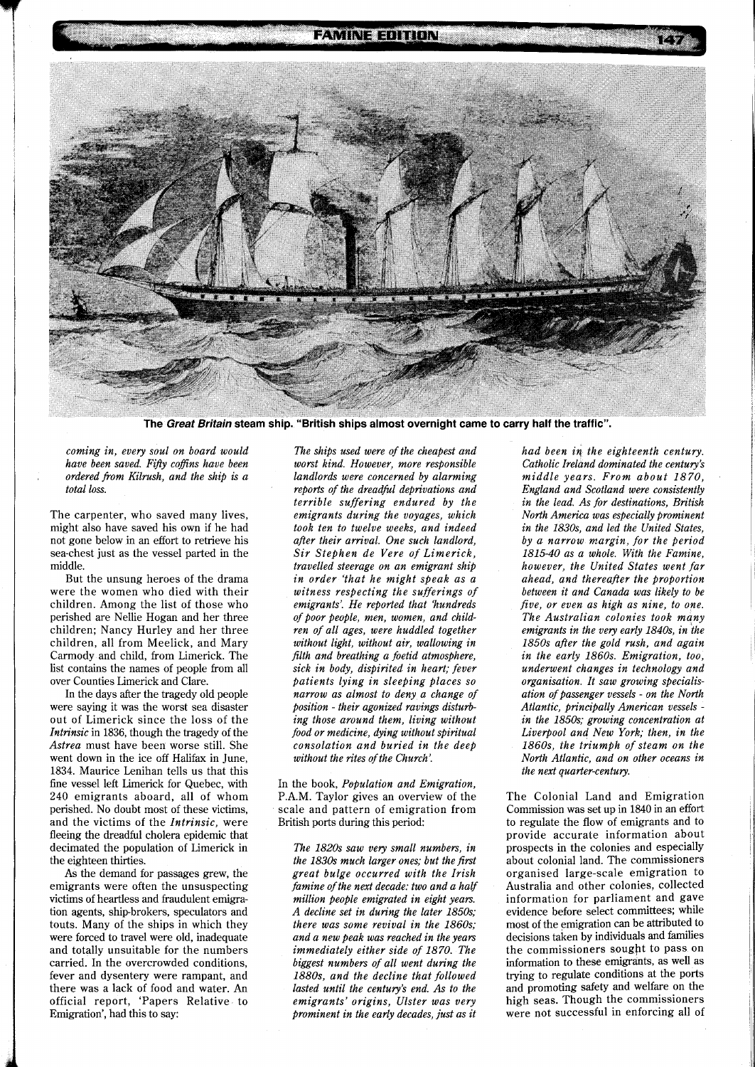**FAMINE EDITION** 

**The Great Britain steam ship. "British ships almost overnight came to carry half the traffic".** 

*coming in, every soul on board would have been saved. Fifty coffins have been ordered from Kilmsh, and the ship is a total loss.* 

The carpenter, who saved many lives, might also have saved his own if he had not gone below in an effort to retrieve his sea-chest just as the vessel parted in the middle.

But the unsung heroes of the drama were the women who died with their children. Among the list of those who perished are Nellie Hogan and her three children; Nancy Hurley and her three children, all from Meelick, and Mary Carmody and child, from Limerick. The list contains the names of people from all over Counties Limerick and Clare.

In the days after the tragedy old people were saying it was the worst sea disaster out of Limerick since the loss of the *Intrinsic* in 1836, though the tragedy of the *Astrea* must have been worse still. She went down in the ice off Halifax in June, 1834. Maurice Lenihan tells us that this fine vessel left Limerick for Quebec, with 240 emigrants aboard, all of whom perished. No doubt most of these victims, and the victims of the *Intrinsic,* were fleeing the dreadful cholera epidemic that decimated the population of Limerick in the eighteen thirties.

As the demand for passages grew, the emigrants were often the unsuspecting victims of heartless and fraudulent emigration agents, shipbrokers, speculators and touts. Many of the ships in which they were forced to travel were old, inadequate and totally unsuitable for the numbers carried. In the overcrowded conditions, fever and dysentery were rampant, and there was a lack of food and water. An official report, 'Papers Relative to Emigration', had this to say:

*The ships used were of the cheapest and worst kind. However, more responsible landlords were concerned by alarming reports of the dreadhl deprivations and terrible suffering endured by the emigrants during the voyages, which took ten to twelve weeks, and indeed after their arrival. One such landlord, Sir Stephen de Vere of Limerick, travelled steerage on an emigrant ship in order 'that he might speak as a witness respecting the sufferings of emigrants: He reported that 'hundreds of poor people, men, women, and children of all ages, were huddled together without light, without air, wallowing in filth and breathing a foetid atmosphere, sick in body, dispirited in heart; fever patients lying in sleeping places so narrow as almost to deny a change of position* - *their agonized ravings disturbing those around them, living without food or medicine, dying without spiritual consolation and buried in the deep without the rites of the Church'.* 

In the book, *Population and Emigration,*  P.A.M. Taylor gives an overview of the scale and pattern of emigration from British ports during this period:

*The 1820s saw very small numbers, in the 1830s much larger ones; but the first great bulge occurred with the Irish famine of the next decade: two and a half million people emigrated in eight years. A decline set in during the later 1850s; there was some revival in the 1860s; and a new peak was reached in the years immediately either side of 1870. The biggest numbers of all went during the 1880s, and the decline that followed lasted until the century's end. As to the emigrants' origins, Ulster was very prominent in the early decades, just as it*  *had been iq the eighteenth century. Catholic Ireland dominated the century's middle years. From about 1870, England and Scotland were consistently in the lead. As for destinations, British North America was especially prominent in the 1830s, and led the United States, by a narrow margin, for the period 1815-40 as a whole. With the Famine, however, the United States went far ahead, and thereafter the proportion between it and Canada was likely to be five, or even as high as nine, to one. The Australian colonies took many emigrants in the very early 1840s, in the 1850s after the gold rush, and again in the early 1860s. Emigration, too, underwent changes in technology and organisation. It saw growing specialisation of passenger vessels* - *on the North Atlantic, principally American vessels in the 1850s; growing concentration at Liverpool and New York; then, in the 1860s, the triumph of steam on the North Atlantic, and on other oceans in the next quarter-century,* 

The Colonial Land and Emigration Commission was set up in 1840 in an effort to regulate the flow of emigrants and to provide accurate information about prospects in the colonies and especially about colonial land. The commissioners organised large-scale emigration to Australia and other colonies, collected information for parliament and gave evidence before select committees; while most of the emigration can be attributed to decisions taken by individuals and families the commissioners sought to pass on information to these emigrants, as well as trying to regulate conditions at the ports and promoting safety and welfare on the high seas. Though the commissioners were not successful in enforcing all of